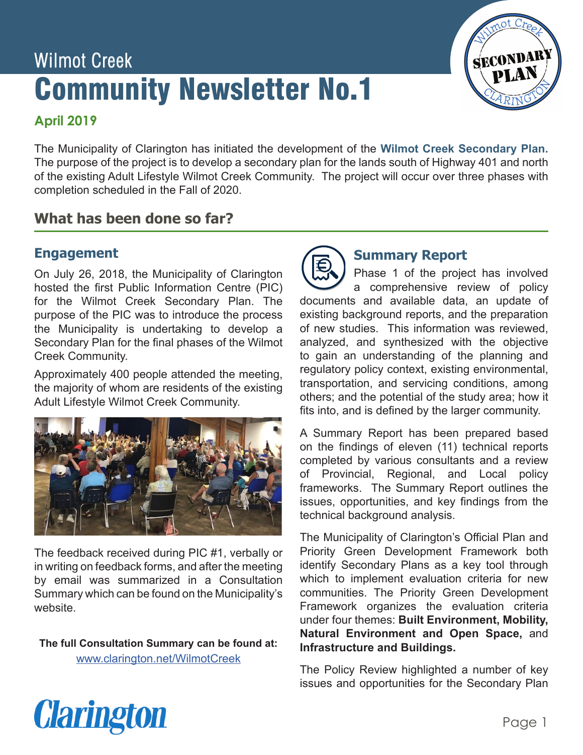# Wilmot Creek Community Newsletter No.1



# **April 2019**

The Municipality of Clarington has initiated the development of the **Wilmot Creek Secondary Plan.**  The purpose of the project is to develop a secondary plan for the lands south of Highway 401 and north of the existing Adult Lifestyle Wilmot Creek Community. The project will occur over three phases with completion scheduled in the Fall of 2020.

#### **What has been done so far? Discussion Session**

#### **Engagement plenary discussion guide by a series of focus questions. The focus questions included:** 1. What features in the design of the design of the new community? In the design of the new community?  $2.1\%$  is subset related to the new community? What suggestions related to the new community? What suggestions  $\mathcal{L}$

On July 26, 2018, the Municipality of Clarington hosted the first Public Information Centre (PIC) for the Wilmot Creek Secondary Plan. The purpose of the PIC was to introduce the process the Municipality is undertaking to develop a Secondary Plan for the final phases of the Wilmot Creek Community.

Approximately 400 people attended the meeting, the majority of whom are residents of the existing Adult Lifestyle Wilmot Creek Community.



5 Summary which can be found on the Municipality's The feedback received during PIC #1, verbally or in writing on feedback forms, and after the meeting by email was summarized in a Consultation website.

[www.clarington.net/WilmotCreek](http://www.clarington.net/WilmotCreek) **The full Consultation Summary can be found at:**



# **Summary Report**

Phase 1 of the project has involved a comprehensive review of policy documents and available data, an update of existing background reports, and the preparation of new studies. This information was reviewed, analyzed, and synthesized with the objective to gain an understanding of the planning and regulatory policy context, existing environmental, transportation, and servicing conditions, among others; and the potential of the study area; how it fits into, and is defined by the larger community.

A Summary Report has been prepared based on the findings of eleven (11) technical reports completed by various consultants and a review of Provincial, Regional, and Local policy frameworks. The Summary Report outlines the issues, opportunities, and key findings from the technical background analysis.

The Municipality of Clarington's Official Plan and Priority Green Development Framework both identify Secondary Plans as a key tool through which to implement evaluation criteria for new communities. The Priority Green Development Framework organizes the evaluation criteria under four themes: **Built Environment, Mobility, Natural Environment and Open Space,** and **Infrastructure and Buildings.**

The Policy Review highlighted a number of key issues and opportunities for the Secondary Plan